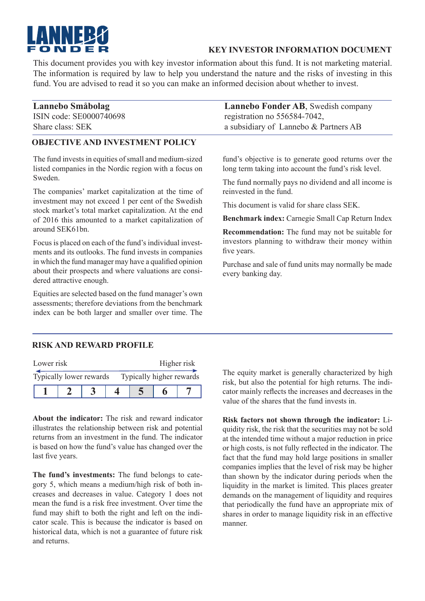

## **KEY INVESTOR INFORMATION DOCUMENT**

This document provides you with key investor information about this fund. It is not marketing material. The information is required by law to help you understand the nature and the risks of investing in this fund. You are advised to read it so you can make an informed decision about whether to invest.

| Lannebo Småbolag        | <b>Lannebo Fonder AB, Swedish company</b> |
|-------------------------|-------------------------------------------|
| ISIN code: SE0000740698 | registration no 556584-7042,              |
| Share class: SEK        | a subsidiary of Lannebo & Partners AB     |

### **OBJECTIVE AND INVESTMENT POLICY**

The fund invests in equities of small and medium-sized listed companies in the Nordic region with a focus on Sweden.

The companies' market capitalization at the time of investment may not exceed 1 per cent of the Swedish stock market's total market capitalization. At the end of 2016 this amounted to a market capitalization of around SEK61bn.

Focus is placed on each of the fund's individual investments and its outlooks. The fund invests in companies in which the fund manager may have a qualified opinion about their prospects and where valuations are considered attractive enough.

Equities are selected based on the fund manager's own assessments; therefore deviations from the benchmark index can be both larger and smaller over time. The fund's objective is to generate good returns over the long term taking into account the fund's risk level.

The fund normally pays no dividend and all income is reinvested in the fund.

This document is valid for share class SEK.

**Benchmark index:** Carnegie Small Cap Return Index

**Recommendation:** The fund may not be suitable for investors planning to withdraw their money within five years.

Purchase and sale of fund units may normally be made every banking day.

### **RISK AND REWARD PROFILE**

| Lower risk              |  |  | Higher risk              |  |  |  |
|-------------------------|--|--|--------------------------|--|--|--|
| Typically lower rewards |  |  | Typically higher rewards |  |  |  |
|                         |  |  |                          |  |  |  |

**About the indicator:** The risk and reward indicator illustrates the relationship between risk and potential returns from an investment in the fund. The indicator is based on how the fund's value has changed over the last five years.

**The fund's investments:** The fund belongs to category 5, which means a medium/high risk of both increases and decreases in value. Category 1 does not mean the fund is a risk free investment. Over time the fund may shift to both the right and left on the indicator scale. This is because the indicator is based on historical data, which is not a guarantee of future risk and returns.

The equity market is generally characterized by high risk, but also the potential for high returns. The indicator mainly reflects the increases and decreases in the value of the shares that the fund invests in.

**Risk factors not shown through the indicator:** Liquidity risk, the risk that the securities may not be sold at the intended time without a major reduction in price or high costs, is not fully reflected in the indicator. The fact that the fund may hold large positions in smaller companies implies that the level of risk may be higher than shown by the indicator during periods when the liquidity in the market is limited. This places greater demands on the management of liquidity and requires that periodically the fund have an appropriate mix of shares in order to manage liquidity risk in an effective manner.